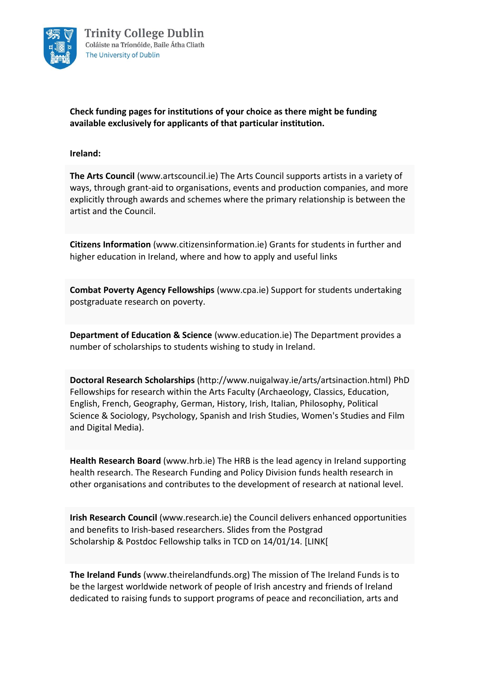

**Check funding pages for institutions of your choice as there might be funding available exclusively for applicants of that particular institution.** 

# **Ireland:**

**The Arts Council** [\(www.artscouncil.ie\)](http://www.artscouncil.ie/) The Arts Council supports artists in a variety of ways, through grant-aid to organisations, events and production companies, and more explicitly through awards and schemes where the primary relationship is between the artist and the Council.

**Citizens Information** [\(www.citizensinformation.ie\)](http://www.citizensinformation.ie/en/education/third_level_education/fees_and_supports_for_third_level_education/maintenance_grant_schemes_for_students_on_third_level_courses.html) Grants for students in further and higher education in Ireland, where and how to apply and useful links

**Combat Poverty Agency Fellowships** [\(www.cpa.ie\)](http://www.cpa.ie/) Support for students undertaking postgraduate research on poverty.

**Department of Education & Science** [\(www.education.ie\)](http://www.education.ie/en/) The Department provides a number of scholarships to students wishing to study in Ireland.

**Doctoral Research Scholarships** [\(http://www.nuigalway.ie/arts/artsinaction.html\)](http://www.nuigalway.ie/arts/artsinaction.html) PhD Fellowships for research within the Arts Faculty (Archaeology, Classics, Education, English, French, Geography, German, History, Irish, Italian, Philosophy, Political Science & Sociology, Psychology, Spanish and Irish Studies, Women's Studies and Film and Digital Media).

**Health Research Board** [\(www.hrb.ie\)](http://www.hrb.ie/) The HRB is the lead agency in Ireland supporting health research. The Research Funding and Policy Division funds health research in other organisations and contributes to the development of research at national level.

**Irish Research Council** [\(www.research.ie\)](http://www.research.ie/) the Council delivers enhanced opportunities and benefits to Irish-based researchers. Slides from the [Postgrad](http://www.tcd.ie/Careers/downloads/IRC_Postgrad_Scholarship_Schemes-140114.pdf)  [Scholarship](http://www.tcd.ie/Careers/downloads/IRC_Postgrad_Scholarship_Schemes-140114.pdf) & [Postdoc Fellowship](http://www.tcd.ie/Careers/downloads/IRC_Postdoc_Fellowship_Schemes-140114.pdf) talks in TCD on 14/01/14. [LINK[

**The Ireland Funds** [\(www.theirelandfunds.org\)](http://www.theirelandfunds.org/) The mission of The Ireland Funds is to be the largest worldwide network of people of Irish ancestry and friends of Ireland dedicated to raising funds to support programs of peace and reconciliation, arts and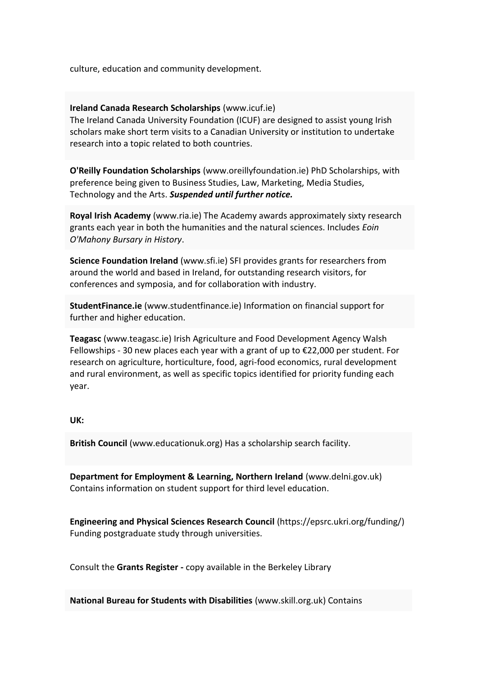culture, education and community development.

### **Ireland Canada Research Scholarships** [\(www.icuf.ie\)](http://www.icuf.ie/)

The Ireland Canada University Foundation (ICUF) are designed to assist young Irish scholars make short term visits to a Canadian University or institution to undertake research into a topic related to both countries.

**O'Reilly Foundation Scholarships** [\(www.oreillyfoundation.ie\)](http://www.oreillyfoundation.ie/) PhD Scholarships, with preference being given to Business Studies, Law, Marketing, Media Studies, Technology and the Arts. *Suspended until further notice.*

**Royal Irish Academy** [\(www.ria.ie\)](http://www.ria.ie/About/Our-Work/Grants---Awards) The Academy awards approximately sixty research grants each year in both the humanities and the natural sciences. Includes *Eoin O'Mahony Bursary in History*.

**Science Foundation Ireland** [\(www.sfi.ie\)](http://www.sfi.ie/) SFI provides grants for researchers from around the world and based in Ireland, for outstanding research visitors, for conferences and symposia, and for collaboration with industry.

**StudentFinance.ie** [\(www.studentfinance.ie\)](http://www.studentfinance.ie/) Information on financial support for further and higher education.

**Teagasc** [\(www.teagasc.ie\)](http://www.teagasc.ie/research/postgrad/) Irish Agriculture and Food Development Agency Walsh Fellowships - 30 new places each year with a grant of up to  $E$ 22,000 per student. For research on agriculture, horticulture, food, agri-food economics, rural development and rural environment, as well as specific topics identified for priority funding each year.

#### **UK:**

**British Council** [\(www.educationuk.org\)](http://www.educationuk.org/) Has a scholarship search facility.

**Department for Employment & Learning, Northern Ireland** [\(www.delni.gov.uk\)](http://www.delni.gov.uk/) Contains information on student support for third level education.

**Engineering and Physical Sciences Research Council** [\(https://epsrc.ukri.org/funding/\)](https://epsrc.ukri.org/funding/) Funding postgraduate study through universities.

Consult the **Grants Register -** copy available in the Berkeley Library

**National Bureau for Students with Disabilities** [\(www.skill.org.uk\)](http://www.skill.org.uk/) Contains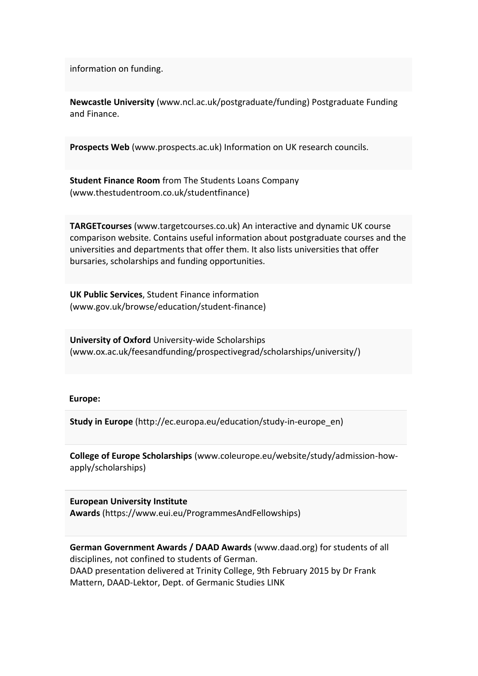information on funding.

**Newcastle University** [\(www.ncl.ac.uk/postgraduate/funding\)](http://www.ncl.ac.uk/postgraduate/funding/) Postgraduate Funding and Finance.

**Prospects Web** [\(www.prospects.ac.uk\)](http://www.prospects.ac.uk/) Information on UK research councils.

**Student Finance Room** from The Students Loans Company [\(www.thestudentroom.co.uk/studentfinance\)](http://www.thestudentroom.co.uk/studentfinance)

**TARGETcourses** [\(www.targetcourses.co.uk\)](http://targetcourses.co.uk/) An interactive and dynamic UK course comparison website. Contains useful information about postgraduate courses and the universities and departments that offer them. It also lists universities that offer bursaries, scholarships and funding opportunities.

**UK Public Services**, Student Finance information [\(www.gov.uk/browse/education/student-finance\)](http://www.gov.uk/browse/education/student-finance)

**University of Oxford** University-wide Scholarships [\(www.ox.ac.uk/feesandfunding/prospectivegrad/scholarships/university/\)](http://www.ox.ac.uk/feesandfunding/prospectivegrad/scholarships/university/)

#### **Europe:**

**Study in Europe** [\(http://ec.europa.eu/education/study-in-europe\\_en\)](http://ec.europa.eu/education/study-in-europe_en)

**College of Europe Scholarships** [\(www.coleurope.eu/website/study/admission-how](http://www.coleurope.eu/website/study/admission-how-apply/scholarships)[apply/scholarships\)](http://www.coleurope.eu/website/study/admission-how-apply/scholarships)

**European University Institute Awards** [\(https://www.eui.eu/ProgrammesAndFellowships\)](https://www.eui.eu/ProgrammesAndFellowships)

**German Government Awards / DAAD Awards** [\(www.daad.org\)](http://www.daad.org/) for students of all disciplines, not confined to students of German. [DAAD presentation](http://www.tcd.ie/Careers/downloads-tcd/DAAD_Scholarships.pdf) delivered at Trinity College, 9th February 2015 by Dr Frank Mattern, DAAD-Lektor, Dept. of Germanic Studies LINK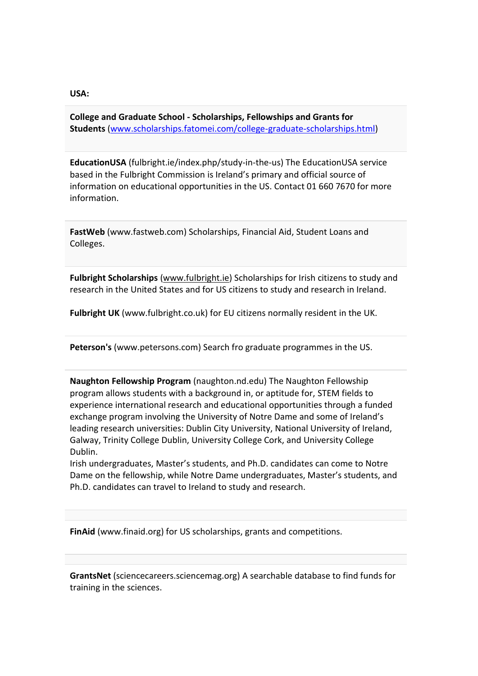#### **USA:**

**College and Graduate School - Scholarships, Fellowships and Grants for Students** [\(www.scholarships.fatomei.com/college-graduate-scholarships.html\)](http://www.scholarships.fatomei.com/college-graduate-scholarships.html)

**EducationUSA** [\(fulbright.ie/index.php/study-in-the-us\)](http://fulbright.ie/index.php/study-in-the-us) The [EducationUSA](http://www.educationusa.info/) service based in the [Fulbright Commission](http://fulbright.ie/study-in-the-us) is Ireland's primary and official source of information on educational opportunities in the US. Contact 01 660 7670 for more information.

**FastWeb** [\(www.fastweb.com\)](http://www.fastweb.com/) Scholarships, Financial Aid, Student Loans and Colleges.

**Fulbright Scholarships** [\(www.fulbright.ie\)](http://www.fulbright.ie/) Scholarships for Irish citizens to study and research in the United States and for US citizens to study and research in Ireland.

**Fulbright UK** [\(www.fulbright.co.uk\)](http://www.fulbright.co.uk/) for EU citizens normally resident in the UK.

**Peterson's** [\(www.petersons.com\)](http://www.petersons.com/) Search fro graduate programmes in the US.

**Naughton Fellowship Program** [\(naughton.nd.edu\)](http://naughton.nd.edu/) The Naughton Fellowship program allows students with a background in, or aptitude for, STEM fields to experience international research and educational opportunities through a funded exchange program involving the University of Notre Dame and some of Ireland's leading research universities: Dublin City University, National University of Ireland, Galway, Trinity College Dublin, University College Cork, and University College Dublin.

Irish undergraduates, Master's students, and Ph.D. candidates can come to Notre Dame on the fellowship, while Notre Dame undergraduates, Master's students, and Ph.D. candidates can travel to Ireland to study and research.

**FinAid** [\(www.finaid.org\)](http://www.finaid.org/) for US scholarships, grants and competitions.

**GrantsNet** [\(sciencecareers.sciencemag.org\)](http://sciencecareers.sciencemag.org/funding?CFID=1839894&CFTOKEN=43037450) A searchable database to find funds for training in the sciences.